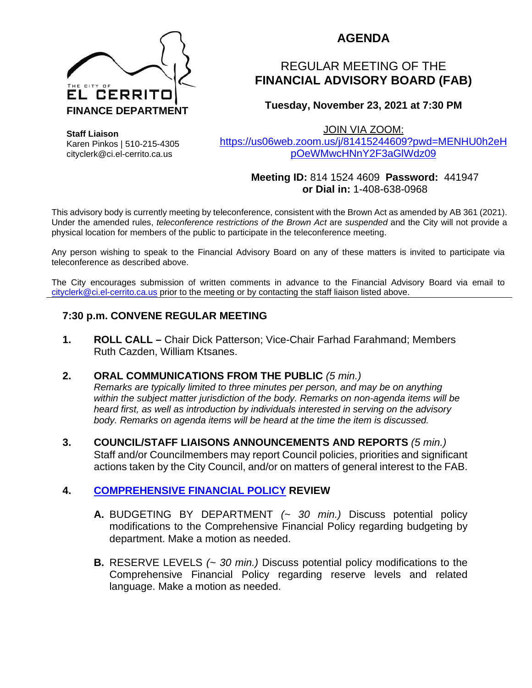

## **AGENDA**

# REGULAR MEETING OF THE **FINANCIAL ADVISORY BOARD (FAB)**

## **Tuesday, November 23, 2021 at 7:30 PM**

JOIN VIA ZOOM:

[https://us06web.zoom.us/j/81415244609?pwd=MENHU0h2eH](https://us06web.zoom.us/j/81415244609?pwd=MENHU0h2eHpOeWMwcHNnY2F3aGlWdz09) [pOeWMwcHNnY2F3aGlWdz09](https://us06web.zoom.us/j/81415244609?pwd=MENHU0h2eHpOeWMwcHNnY2F3aGlWdz09)

#### **Meeting ID:** 814 1524 4609 **Password:** 441947 **or Dial in:** 1-408-638-0968

This advisory body is currently meeting by teleconference, consistent with the Brown Act as amended by AB 361 (2021). Under the amended rules, *teleconference restrictions of the Brown Act* are *suspended* and the City will not provide a physical location for members of the public to participate in the teleconference meeting.

Any person wishing to speak to the Financial Advisory Board on any of these matters is invited to participate via teleconference as described above.

The City encourages submission of written comments in advance to the Financial Advisory Board via email to [cityclerk@ci.el-cerrito.ca.us](mailto:cityclerk@ci.el-cerrito.ca.us) prior to the meeting or by contacting the staff liaison listed above.

## **7:30 p.m. CONVENE REGULAR MEETING**

**1. ROLL CALL –** Chair Dick Patterson; Vice-Chair Farhad Farahmand; Members Ruth Cazden, William Ktsanes.

#### **2. ORAL COMMUNICATIONS FROM THE PUBLIC** *(5 min.)*

*Remarks are typically limited to three minutes per person, and may be on anything within the subject matter jurisdiction of the body. Remarks on non-agenda items will be heard first, as well as introduction by individuals interested in serving on the advisory body. Remarks on agenda items will be heard at the time the item is discussed.* 

**3. COUNCIL/STAFF LIAISONS ANNOUNCEMENTS AND REPORTS** *(5 min.)* Staff and/or Councilmembers may report Council policies, priorities and significant actions taken by the City Council, and/or on matters of general interest to the FAB.

## **4. [COMPREHENSIVE FINANCIAL POLICY](http://www.el-cerrito.org/DocumentCenter/View/5286/052119-El-Cerrito-Comprehensive-Financial-Policy-_Approved?bidId=) REVIEW**

- **A.** BUDGETING BY DEPARTMENT *(~ 30 min.)* Discuss potential policy modifications to the Comprehensive Financial Policy regarding budgeting by department. Make a motion as needed.
- **B.** RESERVE LEVELS *(~ 30 min.)* Discuss potential policy modifications to the Comprehensive Financial Policy regarding reserve levels and related language. Make a motion as needed.

**Staff Liaison** Karen Pinkos | 510-215-4305 cityclerk@ci.el-cerrito.ca.us